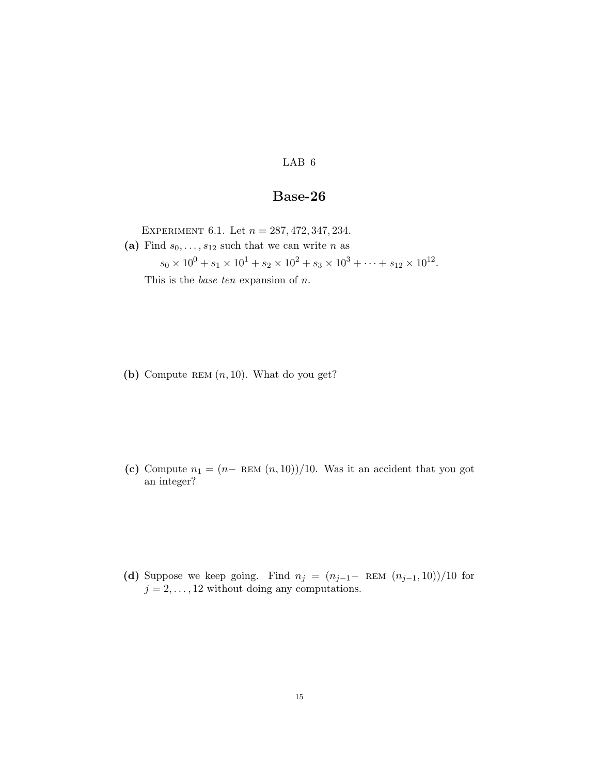LAB 6

## Base-26

EXPERIMENT 6.1. Let  $n = 287, 472, 347, 234$ . (a) Find  $s_0, \ldots, s_{12}$  such that we can write n as

 $s_0 \times 10^0 + s_1 \times 10^1 + s_2 \times 10^2 + s_3 \times 10^3 + \cdots + s_{12} \times 10^{12}$ . This is the *base ten* expansion of  $n$ .

(b) Compute REM  $(n, 10)$ . What do you get?

(c) Compute  $n_1 = (n - \text{REM}(n, 10))/10$ . Was it an accident that you got an integer?

(d) Suppose we keep going. Find  $n_j = (n_{j-1} - REM (n_{j-1}, 10))/10$  for  $j = 2, \ldots, 12$  without doing any computations.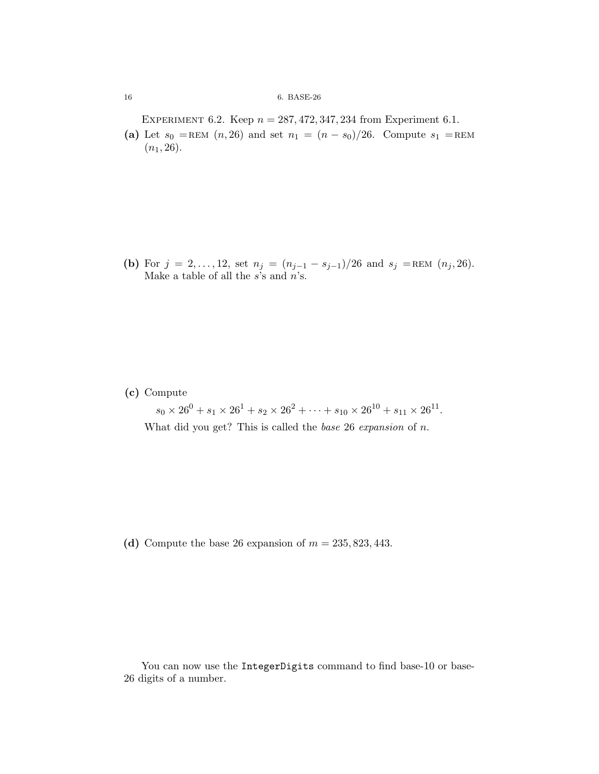## 16 6. BASE-26

EXPERIMENT 6.2. Keep  $n = 287,472,347,234$  from Experiment 6.1.

(a) Let  $s_0 =$ REM  $(n, 26)$  and set  $n_1 = (n - s_0)/26$ . Compute  $s_1 =$ REM  $(n_1, 26)$ .

(b) For  $j = 2, ..., 12$ , set  $n_j = (n_{j-1} - s_{j-1})/26$  and  $s_j = \text{REM}(n_j, 26)$ . Make a table of all the  $s$ 's and  $n$ 's.

(c) Compute

 $s_0 \times 26^0 + s_1 \times 26^1 + s_2 \times 26^2 + \cdots + s_{10} \times 26^{10} + s_{11} \times 26^{11}.$ What did you get? This is called the *base*  $26$  *expansion* of *n*.

(d) Compute the base 26 expansion of  $m = 235, 823, 443$ .

You can now use the IntegerDigits command to find base-10 or base-26 digits of a number.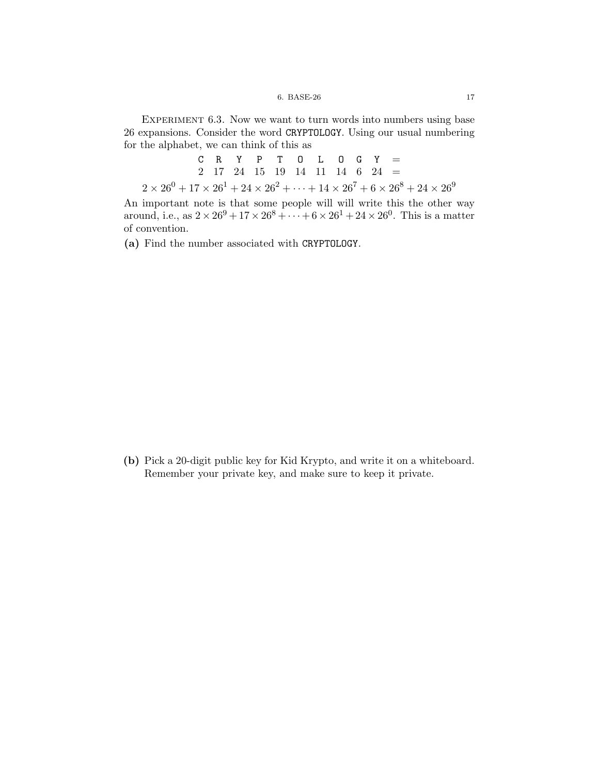## 6. BASE-26 17

EXPERIMENT 6.3. Now we want to turn words into numbers using base 26 expansions. Consider the word CRYPTOLOGY. Using our usual numbering for the alphabet, we can think of this as

C R Y P T O L O G Y =  
\n2 17 24 15 19 14 11 14 6 24 =  
\n
$$
2 \times 26^0 + 17 \times 26^1 + 24 \times 26^2 + \dots + 14 \times 26^7 + 6 \times 26^8 + 24 \times 26^9
$$

An important note is that some people will will write this the other way around, i.e., as  $2 \times 26^9 + 17 \times 26^8 + \cdots + 6 \times 26^1 + 24 \times 26^0$ . This is a matter of convention.

(a) Find the number associated with CRYPTOLOGY.

(b) Pick a 20-digit public key for Kid Krypto, and write it on a whiteboard. Remember your private key, and make sure to keep it private.